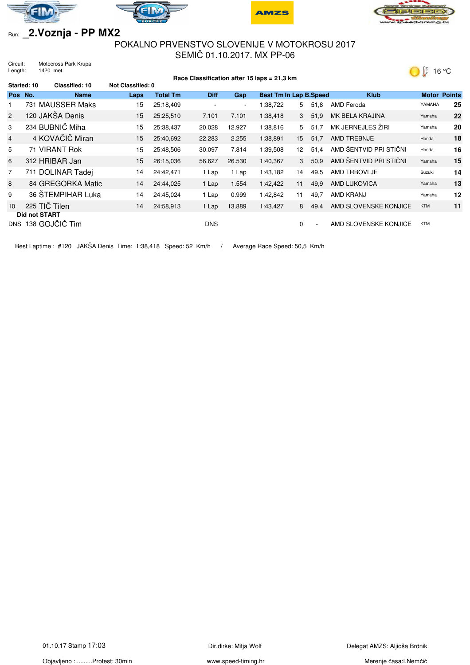







16 °C

## Run: **\_2.Voznja - PP MX2**

## POKALNO PRVENSTVO SLOVENIJE V MOTOKROSU 2017 SEMIČ 01.10.2017. MX PP-06

Circuit: Motocross Park Krupa Length: 1420 met.

| Race Classification after 15 laps = 21,3 km |                                        |                       |                          |                 |                          |                          | $\circ$<br>ט טו               |             |                          |                        |              |               |
|---------------------------------------------|----------------------------------------|-----------------------|--------------------------|-----------------|--------------------------|--------------------------|-------------------------------|-------------|--------------------------|------------------------|--------------|---------------|
|                                             | Started: 10                            | <b>Classified: 10</b> | <b>Not Classified: 0</b> |                 |                          |                          |                               |             |                          |                        |              |               |
| Pos No.                                     |                                        | <b>Name</b>           | Laps                     | <b>Total Tm</b> | <b>Diff</b>              | Gap                      | <b>Best Tm In Lap B.Speed</b> |             |                          | <b>Klub</b>            | <b>Motor</b> | <b>Points</b> |
|                                             | 731 MAUSSER Maks                       |                       | 15                       | 25:18,409       | $\overline{\phantom{a}}$ | $\overline{\phantom{a}}$ | 1:38,722                      | 5           | 51,8                     | AMD Feroda             | YAMAHA       | 25            |
| $\overline{2}$                              | 120 JAKŠA Denis                        |                       | 15                       | 25:25,510       | 7.101                    | 7.101                    | 1:38,418                      | $3^{\circ}$ | 51,9                     | MK BELA KRAJINA        | Yamaha       | 22            |
| 3                                           | 234 BUBNIČ Miha                        |                       | 15                       | 25:38,437       | 20.028                   | 12.927                   | 1:38,816                      | 5           | 51,7                     | MK JERNEJLES ŽIRI      | Yamaha       | 20            |
| $\overline{4}$                              | 4 KOVAČIČ Miran                        |                       | 15                       | 25:40.692       | 22.283                   | 2.255                    | 1:38,891                      | 15          | 51,7                     | AMD TREBNJE            | Honda        | 18            |
| 5                                           | 71 VIRANT Rok                          |                       | 15                       | 25:48,506       | 30.097                   | 7.814                    | 1:39,508                      | 12          | 51.4                     | AMD ŠENTVID PRI STIČNI | Honda        | 16            |
| 6                                           | 312 HRIBAR Jan                         |                       | 15                       | 26:15.036       | 56.627                   | 26.530                   | 1:40,367                      | 3           | 50,9                     | AMD ŠENTVID PRI STIČNI | Yamaha       | 15            |
| 7                                           | 711 DOLINAR Tadej                      |                       | 14                       | 24:42.471       | 1 Lap                    | 1 Lap                    | 1:43,182                      | 14          | 49,5                     | AMD TRBOVLJE           | Suzuki       | 14            |
| 8                                           |                                        | 84 GREGORKA Matic     | 14                       | 24:44,025       | 1 Lap                    | 1.554                    | 1:42,422                      | 11          | 49,9                     | AMD LUKOVICA           | Yamaha       | 13            |
| 9                                           |                                        | 36 ŠTEMPIHAR Luka     | 14                       | 24:45,024       | 1 Lap                    | 0.999                    | 1:42,842                      | 11          | 49,7                     | AMD KRANJ              | Yamaha       | 12            |
| 10                                          | 225 TIČ Tilen                          |                       | 14                       | 24:58,913       | 1 Lap                    | 13.889                   | 1:43,427                      | 8           | 49,4                     | AMD SLOVENSKE KONJICE  | <b>KTM</b>   | 11            |
| DNS.                                        | <b>Did not START</b><br>138 GOJČIČ Tim |                       |                          |                 | <b>DNS</b>               |                          |                               | 0           | $\overline{\phantom{a}}$ | AMD SLOVENSKE KONJICE  | <b>KTM</b>   |               |

Best Laptime : #120 JAKŠA Denis Time: 1:38,418 Speed: 52 Km/h / Average Race Speed: 50,5 Km/h

Objavljeno : .........Protest: 30min